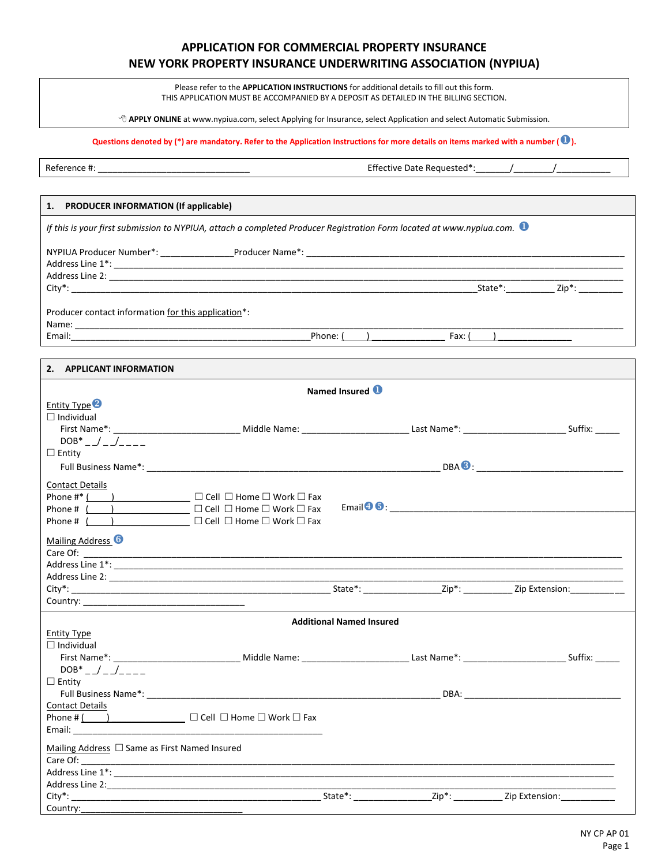# **APPLICATION FOR COMMERCIAL PROPERTY INSURANCE NEW YORK PROPERTY INSURANCE UNDERWRITING ASSOCIATION (NYPIUA)**

Please refer to the **APPLICATION INSTRUCTIONS** for additional details to fill out this form. THIS APPLICATION MUST BE ACCOMPANIED BY A DEPOSIT AS DETAILED IN THE BILLING SECTION.

**APPLY ONLINE** at www.nypiua.com, select Applying for Insurance, select Application and select Automatic Submission.

**Questions denoted by (\*) are mandatory. Refer to the Application Instructions for more details on items marked with a number ().**

Country:

Reference #: \_\_\_\_\_\_\_\_\_\_\_\_\_\_\_\_\_\_\_\_\_\_\_\_\_\_\_\_\_\_\_ Effective Date Requested\*:\_\_\_\_\_\_\_/\_\_\_\_\_\_\_\_/\_\_\_\_\_\_\_\_\_\_\_

# **1. PRODUCER INFORMATION (If applicable)** *If this is your first submission to NYPIUA, attach a completed Producer Registration Form located at www.nypiua.com.* NYPIUA Producer Number\*: \_\_\_\_\_\_\_\_\_\_\_\_\_\_\_Producer Name\*: \_\_\_\_\_\_\_\_\_\_\_\_\_\_\_\_\_\_\_\_\_\_\_\_\_\_\_\_\_\_\_\_\_\_\_\_\_\_\_\_\_\_\_\_\_\_\_\_\_\_\_\_\_\_\_\_\_\_\_\_\_\_\_\_\_ Address Line 1\*: \_\_\_\_\_\_\_\_\_\_\_\_\_\_\_\_\_\_\_\_\_\_\_\_\_\_\_\_\_\_\_\_\_\_\_\_\_\_\_\_\_\_\_\_\_\_\_\_\_\_\_\_\_\_\_\_\_\_\_\_\_\_\_\_\_\_\_\_\_\_\_\_\_\_\_\_\_\_\_\_\_\_\_\_\_\_\_\_\_\_\_\_\_\_\_\_\_\_\_\_\_\_\_\_ Address Line 2: City\*: \_\_\_\_\_\_\_\_\_\_\_\_\_\_\_\_\_\_\_\_\_\_\_\_\_\_\_\_\_\_\_\_\_\_\_\_\_\_\_\_\_\_\_\_\_\_\_\_\_\_\_\_\_\_\_\_\_\_\_\_\_\_\_\_\_\_\_\_\_\_\_\_\_\_\_\_\_\_\_\_\_\_\_State\*:\_\_\_\_\_\_\_\_\_\_ Zip\*: \_\_\_\_\_\_\_\_\_ Producer contact information for this application\*: Name: \_\_\_\_\_\_\_\_\_\_\_\_\_\_\_\_\_\_\_\_\_\_\_\_\_\_\_\_\_\_\_\_\_\_\_\_\_\_\_\_\_\_\_\_\_\_\_\_\_\_\_\_\_\_\_\_\_\_\_\_\_\_\_\_\_\_\_\_\_\_\_\_\_\_\_\_\_\_\_\_\_\_\_\_\_\_\_\_\_\_\_\_\_\_\_\_\_\_\_\_\_\_\_\_\_\_\_\_\_\_\_\_ Email:\_\_\_\_\_\_\_\_\_\_\_\_\_\_\_\_\_\_\_\_\_\_\_\_\_\_\_\_\_\_\_\_\_\_\_\_\_\_\_\_\_\_\_\_\_\_\_\_\_Phone: ( ) \_\_\_\_\_\_\_\_\_\_\_\_\_\_\_ Fax: ( ) \_\_\_\_\_\_\_\_\_\_\_\_\_\_\_ **2. APPLICANT INFORMATION Named Insured**  Entity Type<sup>2</sup>  $\square$  Individual<br>First Name\*: First Name\*: \_\_\_\_\_\_\_\_\_\_\_\_\_\_\_\_\_\_\_\_\_\_\_\_\_\_ Middle Name: \_\_\_\_\_\_\_\_\_\_\_\_\_\_\_\_\_\_\_\_\_\_ Last Name\*: \_\_\_\_\_\_\_\_\_\_\_\_\_\_\_\_\_\_\_\_\_ Suffix: \_\_\_\_\_  $DOB^*$  \_  $\Big\}$  \_  $\Big\}$  \_ \_ \_ \_ \_  $\square$  Entity Full Business Name\*: \_\_\_\_\_\_\_\_\_\_\_\_\_\_\_\_\_\_\_\_\_\_\_\_\_\_\_\_\_\_\_\_\_\_\_\_\_\_\_\_\_\_\_\_\_\_\_\_\_\_\_\_\_\_\_\_\_\_\_\_ DBA: \_\_\_\_\_\_\_\_\_\_\_\_\_\_\_\_\_\_\_\_\_\_\_\_\_\_\_\_\_\_ Contact Details Phone #\* ( ) \_\_\_\_\_\_\_\_\_\_\_\_\_\_\_ Cell Home Work Fax Phone # ( ) \_\_\_\_\_\_\_\_\_\_\_\_\_\_\_ Cell Home Work Fax Phone # ( ) \_\_\_\_\_\_\_\_\_\_\_\_\_\_\_ Cell Home Work Fax  $E$ mail $\bigodot \bigodot$  : Mailing Address<sup>6</sup><br>Care Of: Care Of: \_\_\_\_\_\_\_\_\_\_\_\_\_\_\_\_\_\_\_\_\_\_\_\_\_\_\_\_\_\_\_\_\_\_\_\_\_\_\_\_\_\_\_\_\_\_\_\_\_\_\_\_\_\_\_\_\_\_\_\_\_\_\_\_\_\_\_\_\_\_\_\_\_\_\_\_\_\_\_\_\_\_\_\_\_\_\_\_\_\_\_\_\_\_\_\_\_\_\_\_\_\_\_\_\_\_\_\_\_\_ Address Line  $1^*$ : Address Line 2: City\*: \_\_\_\_\_\_\_\_\_\_\_\_\_\_\_\_\_\_\_\_\_\_\_\_\_\_\_\_\_\_\_\_\_\_\_\_\_\_\_\_\_\_\_\_\_\_\_\_\_\_\_\_\_ State\*: \_\_\_\_\_\_\_\_\_\_\_\_\_\_\_\_Zip\*: \_\_\_\_\_\_\_\_\_\_ Zip Extension:\_\_\_\_\_\_\_\_\_\_\_ Country: **Additional Named Insured** Entity Type  $\Box$  Individual First Name\*: \_\_\_\_\_\_\_\_\_\_\_\_\_\_\_\_\_\_\_\_\_\_\_\_\_\_ Middle Name: \_\_\_\_\_\_\_\_\_\_\_\_\_\_\_\_\_\_\_\_\_\_ Last Name\*: \_\_\_\_\_\_\_\_\_\_\_\_\_\_\_\_\_\_\_\_\_ Suffix: \_\_\_\_\_  $DOB^*$  / /  $\square$  Entity Full Business Name\*: \_\_\_\_\_\_\_\_\_\_\_\_\_\_\_\_\_\_\_\_\_\_\_\_\_\_\_\_\_\_\_\_\_\_\_\_\_\_\_\_\_\_\_\_\_\_\_\_\_\_\_\_\_\_\_\_\_\_\_\_ DBA: \_\_\_\_\_\_\_\_\_\_\_\_\_\_\_\_\_\_\_\_\_\_\_\_\_\_\_\_\_\_\_\_ Contact Details Phone # ( ) \_\_\_\_\_\_\_\_\_\_\_\_\_\_\_ Cell Home Work Fax Email: \_\_\_\_\_\_\_\_\_\_\_\_\_\_\_\_\_\_\_\_\_\_\_\_\_\_\_\_\_\_\_\_\_\_\_\_\_\_\_\_\_\_\_\_\_\_\_\_\_\_\_ Mailing Address  $\Box$  Same as First Named Insured Care Of: \_\_\_\_\_\_\_\_\_\_\_\_\_\_\_\_\_\_\_\_\_\_\_\_\_\_\_\_\_\_\_\_\_\_\_\_\_\_\_\_\_\_\_\_\_\_\_\_\_\_\_\_\_\_\_\_\_\_\_\_\_\_\_\_\_\_\_\_\_\_\_\_\_\_\_\_\_\_\_\_\_\_\_\_\_\_\_\_\_\_\_\_\_\_\_\_\_\_\_\_\_\_\_\_\_\_\_\_\_ Address Line  $1^*$ : Address Line 2: City\*: \_\_\_\_\_\_\_\_\_\_\_\_\_\_\_\_\_\_\_\_\_\_\_\_\_\_\_\_\_\_\_\_\_\_\_\_\_\_\_\_\_\_\_\_\_\_\_\_\_\_\_ State\*: \_\_\_\_\_\_\_\_\_\_\_\_\_\_\_\_Zip\*: \_\_\_\_\_\_\_\_\_\_ Zip Extension:\_\_\_\_\_\_\_\_\_\_\_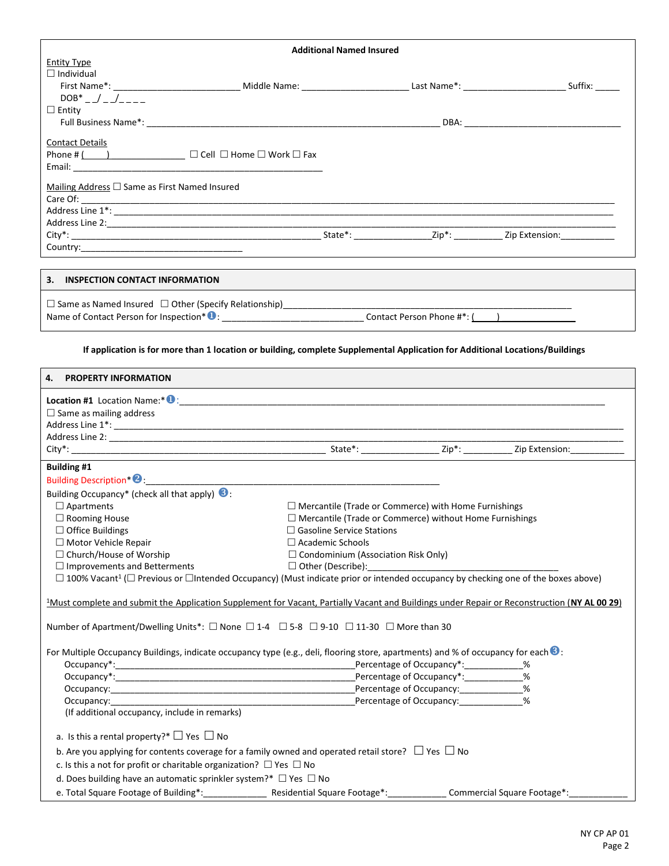| <b>Additional Named Insured</b>                    |  |  |  |  |  |
|----------------------------------------------------|--|--|--|--|--|
| <b>Entity Type</b>                                 |  |  |  |  |  |
| $\Box$ Individual                                  |  |  |  |  |  |
|                                                    |  |  |  |  |  |
| $DOB^*$ $\_\/\_\/\_\$                              |  |  |  |  |  |
| $\Box$ Entity                                      |  |  |  |  |  |
|                                                    |  |  |  |  |  |
| <b>Contact Details</b>                             |  |  |  |  |  |
|                                                    |  |  |  |  |  |
|                                                    |  |  |  |  |  |
|                                                    |  |  |  |  |  |
| Mailing Address $\Box$ Same as First Named Insured |  |  |  |  |  |
|                                                    |  |  |  |  |  |
|                                                    |  |  |  |  |  |
|                                                    |  |  |  |  |  |
| Country: <u>_________________________________</u>  |  |  |  |  |  |
|                                                    |  |  |  |  |  |
| 3. INSPECTION CONTACT INFORMATION                  |  |  |  |  |  |
|                                                    |  |  |  |  |  |
|                                                    |  |  |  |  |  |

**If application is for more than 1 location or building, complete Supplemental Application for Additional Locations/Buildings**

| 4. PROPERTY INFORMATION                                                                                                                                        |                                                                |                             |
|----------------------------------------------------------------------------------------------------------------------------------------------------------------|----------------------------------------------------------------|-----------------------------|
|                                                                                                                                                                |                                                                |                             |
| $\Box$ Same as mailing address                                                                                                                                 |                                                                |                             |
|                                                                                                                                                                |                                                                |                             |
|                                                                                                                                                                |                                                                |                             |
|                                                                                                                                                                |                                                                |                             |
| <b>Building #1</b>                                                                                                                                             |                                                                |                             |
|                                                                                                                                                                |                                                                |                             |
| Building Occupancy* (check all that apply) <b>3</b> :                                                                                                          |                                                                |                             |
| $\Box$ Apartments                                                                                                                                              | $\Box$ Mercantile (Trade or Commerce) with Home Furnishings    |                             |
| □ Rooming House                                                                                                                                                | $\Box$ Mercantile (Trade or Commerce) without Home Furnishings |                             |
| $\Box$ Office Buildings                                                                                                                                        | $\Box$ Gasoline Service Stations                               |                             |
| □ Motor Vehicle Repair                                                                                                                                         | $\Box$ Academic Schools                                        |                             |
| $\Box$ Church/House of Worship                                                                                                                                 | $\Box$ Condominium (Association Risk Only)                     |                             |
| $\Box$ Improvements and Betterments                                                                                                                            | $\Box$ Other (Describe):                                       |                             |
| $\Box$ 100% Vacant <sup>1</sup> ( $\Box$ Previous or $\Box$ Intended Occupancy) (Must indicate prior or intended occupancy by checking one of the boxes above) |                                                                |                             |
| <sup>1</sup> Must complete and submit the Application Supplement for Vacant, Partially Vacant and Buildings under Repair or Reconstruction (NY AL 00 29)       |                                                                |                             |
| Number of Apartment/Dwelling Units*: $\Box$ None $\Box$ 1-4 $\Box$ 5-8 $\Box$ 9-10 $\Box$ 11-30 $\Box$ More than 30                                            |                                                                |                             |
| For Multiple Occupancy Buildings, indicate occupancy type (e.g., deli, flooring store, apartments) and % of occupancy for each $\odot$ :                       |                                                                |                             |
|                                                                                                                                                                |                                                                |                             |
|                                                                                                                                                                | Percentage of Occupancy*: ____________%                        |                             |
|                                                                                                                                                                |                                                                |                             |
| Occupancy: example and the example of the example of the example of the example of Occupancy:                                                                  |                                                                |                             |
| (If additional occupancy, include in remarks)                                                                                                                  |                                                                |                             |
|                                                                                                                                                                |                                                                |                             |
| a. Is this a rental property?* $\Box$ Yes $\Box$ No                                                                                                            |                                                                |                             |
| b. Are you applying for contents coverage for a family owned and operated retail store? $\Box$ Yes $\Box$ No                                                   |                                                                |                             |
| c. Is this a not for profit or charitable organization? $\Box$ Yes $\Box$ No                                                                                   |                                                                |                             |
| d. Does building have an automatic sprinkler system?* $\Box$ Yes $\Box$ No                                                                                     |                                                                |                             |
| e. Total Square Footage of Building*: _______________                                                                                                          | Residential Square Footage*: _____________                     | Commercial Square Footage*: |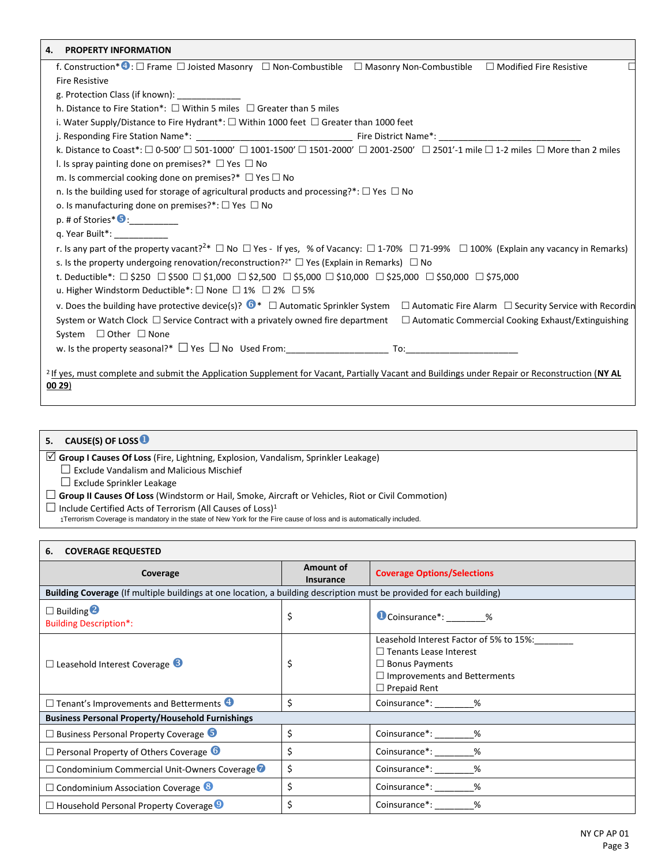| <b>PROPERTY INFORMATION</b><br>4.                                                                                                                                         |
|---------------------------------------------------------------------------------------------------------------------------------------------------------------------------|
| f. Construction* · C Frame □ Joisted Masonry □ Non-Combustible □ Masonry Non-Combustible □ Modified Fire Resistive                                                        |
| <b>Fire Resistive</b>                                                                                                                                                     |
| g. Protection Class (if known):                                                                                                                                           |
| h. Distance to Fire Station*: $\Box$ Within 5 miles $\Box$ Greater than 5 miles                                                                                           |
| i. Water Supply/Distance to Fire Hydrant*: $\Box$ Within 1000 feet $\Box$ Greater than 1000 feet                                                                          |
|                                                                                                                                                                           |
| k. Distance to Coast*: □ 0-500' □ 501-1000' □ 1001-1500' □ 1501-2000' □ 2001-2500' □ 2501'-1 mile □ 1-2 miles □ More than 2 miles                                         |
| I. Is spray painting done on premises?* $\Box$ Yes $\Box$ No                                                                                                              |
| m. Is commercial cooking done on premises?* $\Box$ Yes $\Box$ No                                                                                                          |
| n. Is the building used for storage of agricultural products and processing?*: $\Box$ Yes $\Box$ No                                                                       |
| o. Is manufacturing done on premises?*: $\Box$ Yes $\Box$ No                                                                                                              |
| $p.$ # of Stories* $\bigcirc$ :                                                                                                                                           |
| g. Year Built <sup>*</sup> :                                                                                                                                              |
| r. Is any part of the property vacant? <sup>2*</sup> $\Box$ No $\Box$ Yes - If yes, % of Vacancy: $\Box$ 1-70% $\Box$ 71-99% $\Box$ 100% (Explain any vacancy in Remarks) |
| s. Is the property undergoing renovation/reconstruction? <sup>2*</sup> $\Box$ Yes (Explain in Remarks) $\Box$ No                                                          |
| t. Deductible*: $\Box$ \$250 $\Box$ \$500 $\Box$ \$1,000 $\Box$ \$2,500 $\Box$ \$5,000 $\Box$ \$25,000 $\Box$ \$50,000 $\Box$ \$75,000                                    |
| u. Higher Windstorm Deductible*: $\square$ None $\square$ 1% $\square$ 2% $\square$ 5%                                                                                    |
| v. Does the building have protective device(s)? $\bullet^*$ $\Box$ Automatic Sprinkler System<br>$\Box$ Automatic Fire Alarm $\Box$ Security Service with Recordin        |
| System or Watch Clock $\Box$ Service Contract with a privately owned fire department<br>$\Box$ Automatic Commercial Cooking Exhaust/Extinguishing                         |
| System $\Box$ Other $\Box$ None                                                                                                                                           |
|                                                                                                                                                                           |
|                                                                                                                                                                           |
| <sup>2</sup> If yes, must complete and submit the Application Supplement for Vacant, Partially Vacant and Buildings under Repair or Reconstruction (NY AL<br>0029)        |

| CAUSE(S) OF LOSS <sup>O</sup><br>5. |
|-------------------------------------|
|-------------------------------------|

**Group I Causes Of Loss** (Fire, Lightning, Explosion, Vandalism, Sprinkler Leakage)

 $\square$  Exclude Vandalism and Malicious Mischief

 $\Box$  Exclude Sprinkler Leakage

**Group II Causes Of Loss** (Windstorm or Hail, Smoke, Aircraft or Vehicles, Riot or Civil Commotion)

 $\square$  Include Certified Acts of Terrorism (All Causes of Loss)<sup>1</sup>

1Terrorism Coverage is mandatory in the state of New York for the Fire cause of loss and is automatically included.

| <b>COVERAGE REQUESTED</b><br>6.                                                                                      |                               |                                                                                                                                                                 |  |  |
|----------------------------------------------------------------------------------------------------------------------|-------------------------------|-----------------------------------------------------------------------------------------------------------------------------------------------------------------|--|--|
| Coverage                                                                                                             | Amount of<br><b>Insurance</b> | <b>Coverage Options/Selections</b>                                                                                                                              |  |  |
| Building Coverage (If multiple buildings at one location, a building description must be provided for each building) |                               |                                                                                                                                                                 |  |  |
| $\Box$ Building $\bigcirc$<br><b>Building Description*:</b>                                                          | \$                            | Coinsurance <sup>*</sup> : %                                                                                                                                    |  |  |
| $\Box$ Leasehold Interest Coverage $\Box$                                                                            | \$                            | Leasehold Interest Factor of 5% to 15%:<br>$\Box$ Tenants Lease Interest<br>$\Box$ Bonus Payments<br>$\Box$ Improvements and Betterments<br>$\Box$ Prepaid Rent |  |  |
| $\Box$ Tenant's Improvements and Betterments                                                                         | \$                            | Coinsurance*: 96                                                                                                                                                |  |  |
| <b>Business Personal Property/Household Furnishings</b>                                                              |                               |                                                                                                                                                                 |  |  |
| $\Box$ Business Personal Property Coverage $\Box$                                                                    | \$                            | Coinsurance*: ________%                                                                                                                                         |  |  |
| $\Box$ Personal Property of Others Coverage $\Box$                                                                   | \$                            | Coinsurance*: %                                                                                                                                                 |  |  |
| $\Box$ Condominium Commercial Unit-Owners Coverage                                                                   | \$                            | Coinsurance*: ________%                                                                                                                                         |  |  |
| $\Box$ Condominium Association Coverage $\odot$                                                                      | \$                            | Coinsurance <sup>*</sup> : %                                                                                                                                    |  |  |
| $\Box$ Household Personal Property Coverage $\Theta$                                                                 | \$                            | Coinsurance <sup>*</sup> : %                                                                                                                                    |  |  |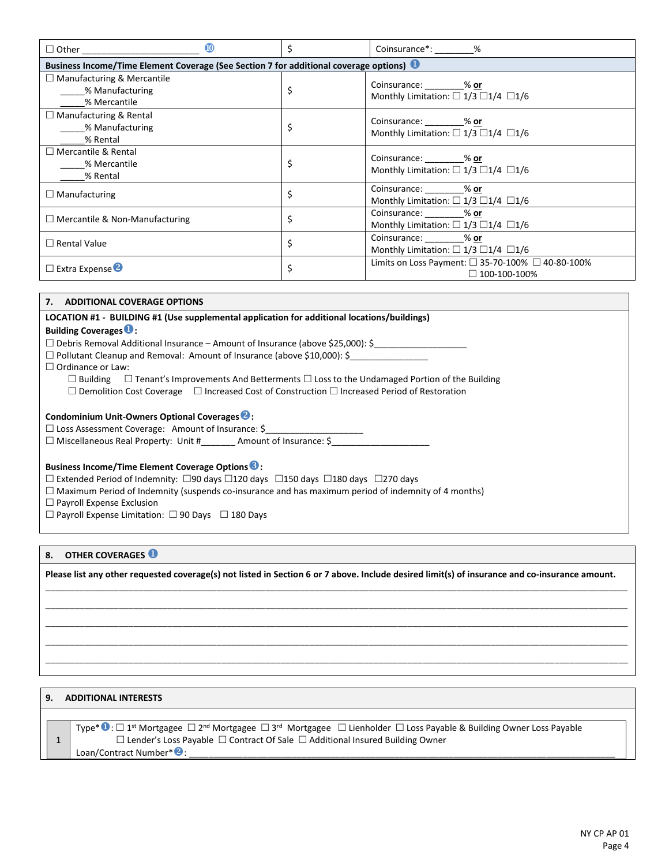| $\omega$                                                                              | Ś  | Coinsurance*: ________%                                                            |  |  |  |
|---------------------------------------------------------------------------------------|----|------------------------------------------------------------------------------------|--|--|--|
| Business Income/Time Element Coverage (See Section 7 for additional coverage options) |    |                                                                                    |  |  |  |
| $\Box$ Manufacturing & Mercantile<br>% Manufacturing<br>% Mercantile                  | \$ | Coinsurance: 600 % or<br>Monthly Limitation: $\Box$ 1/3 $\Box$ 1/4 $\Box$ 1/6      |  |  |  |
| $\Box$ Manufacturing & Rental<br>% Manufacturing<br>% Rental                          | \$ | Coinsurance: % or<br>Monthly Limitation: $\Box$ 1/3 $\Box$ 1/4 $\Box$ 1/6          |  |  |  |
| $\Box$ Mercantile & Rental<br>% Mercantile<br>% Rental                                | \$ | Coinsurance: % or<br>Monthly Limitation: $\Box$ 1/3 $\Box$ 1/4 $\Box$ 1/6          |  |  |  |
| $\Box$ Manufacturing                                                                  | \$ | Coinsurance: % or<br>Monthly Limitation: $\Box$ 1/3 $\Box$ 1/4 $\Box$ 1/6          |  |  |  |
| $\Box$ Mercantile & Non-Manufacturing                                                 | \$ | Coinsurance: % or<br>Monthly Limitation: $\Box$ 1/3 $\Box$ 1/4 $\Box$ 1/6          |  |  |  |
| $\Box$ Rental Value                                                                   | \$ | Coinsurance: % or<br>Monthly Limitation: $\Box$ 1/3 $\Box$ 1/4 $\Box$ 1/6          |  |  |  |
| $\Box$ Extra Expense 2                                                                | \$ | Limits on Loss Payment: $\Box$ 35-70-100% $\Box$ 40-80-100%<br>$\Box$ 100-100-100% |  |  |  |

## **7. ADDITIONAL COVERAGE OPTIONS**

**LOCATION #1 - BUILDING #1 (Use supplemental application for additional locations/buildings) Building Coverages:**   $\square$  Debris Removal Additional Insurance – Amount of Insurance (above \$25,000): \$ □ Pollutant Cleanup and Removal: Amount of Insurance (above \$10,000): \$  $\Box$  Ordinance or Law:  $\Box$  Building  $\Box$  Tenant's Improvements And Betterments  $\Box$  Loss to the Undamaged Portion of the Building  $\square$  Demolition Cost Coverage  $\square$  Increased Cost of Construction  $\square$  Increased Period of Restoration **Condominium Unit-Owners Optional Coverages:**  $\square$  Loss Assessment Coverage: Amount of Insurance: \$  $\Box$  Miscellaneous Real Property: Unit #  $\Box$  Amount of Insurance: \$ **Business Income/Time Element Coverage Options:**  $\square$  Extended Period of Indemnity:  $\square$ 90 days  $\square$ 120 days  $\square$ 180 days  $\square$ 270 days  $\Box$  Maximum Period of Indemnity (suspends co-insurance and has maximum period of indemnity of 4 months)  $\square$  Payroll Expense Exclusion  $\Box$  Payroll Expense Limitation:  $\Box$  90 Days  $\Box$  180 Days

# **8. OTHER COVERAGES**

**Please list any other requested coverage(s) not listed in Section 6 or 7 above. Include desired limit(s) of insurance and co-insurance amount.** \_\_\_\_\_\_\_\_\_\_\_\_\_\_\_\_\_\_\_\_\_\_\_\_\_\_\_\_\_\_\_\_\_\_\_\_\_\_\_\_\_\_\_\_\_\_\_\_\_\_\_\_\_\_\_\_\_\_\_\_\_\_\_\_\_\_\_\_\_\_\_\_\_\_\_\_\_\_\_\_\_\_\_\_\_\_\_\_\_\_\_\_\_\_\_\_\_\_\_\_\_\_\_\_\_\_\_\_\_\_\_\_\_\_\_\_\_\_\_

\_\_\_\_\_\_\_\_\_\_\_\_\_\_\_\_\_\_\_\_\_\_\_\_\_\_\_\_\_\_\_\_\_\_\_\_\_\_\_\_\_\_\_\_\_\_\_\_\_\_\_\_\_\_\_\_\_\_\_\_\_\_\_\_\_\_\_\_\_\_\_\_\_\_\_\_\_\_\_\_\_\_\_\_\_\_\_\_\_\_\_\_\_\_\_\_\_\_\_\_\_\_\_\_\_\_\_\_\_\_\_\_\_\_\_\_\_\_\_ \_\_\_\_\_\_\_\_\_\_\_\_\_\_\_\_\_\_\_\_\_\_\_\_\_\_\_\_\_\_\_\_\_\_\_\_\_\_\_\_\_\_\_\_\_\_\_\_\_\_\_\_\_\_\_\_\_\_\_\_\_\_\_\_\_\_\_\_\_\_\_\_\_\_\_\_\_\_\_\_\_\_\_\_\_\_\_\_\_\_\_\_\_\_\_\_\_\_\_\_\_\_\_\_\_\_\_\_\_\_\_\_\_\_\_\_\_\_\_ \_\_\_\_\_\_\_\_\_\_\_\_\_\_\_\_\_\_\_\_\_\_\_\_\_\_\_\_\_\_\_\_\_\_\_\_\_\_\_\_\_\_\_\_\_\_\_\_\_\_\_\_\_\_\_\_\_\_\_\_\_\_\_\_\_\_\_\_\_\_\_\_\_\_\_\_\_\_\_\_\_\_\_\_\_\_\_\_\_\_\_\_\_\_\_\_\_\_\_\_\_\_\_\_\_\_\_\_\_\_\_\_\_\_\_\_\_\_\_ \_\_\_\_\_\_\_\_\_\_\_\_\_\_\_\_\_\_\_\_\_\_\_\_\_\_\_\_\_\_\_\_\_\_\_\_\_\_\_\_\_\_\_\_\_\_\_\_\_\_\_\_\_\_\_\_\_\_\_\_\_\_\_\_\_\_\_\_\_\_\_\_\_\_\_\_\_\_\_\_\_\_\_\_\_\_\_\_\_\_\_\_\_\_\_\_\_\_\_\_\_\_\_\_\_\_\_\_\_\_\_\_\_\_\_\_\_\_\_

### **9. ADDITIONAL INTERESTS**

1 Type\* $\blacksquare$ :  $\Box$  1<sup>st</sup> Mortgagee  $\Box$  2<sup>nd</sup> Mortgagee  $\Box$  3<sup>rd</sup> Mortgagee  $\Box$  Lienholder  $\Box$  Loss Payable & Building Owner Loss Payable  $\Box$  Lender's Loss Payable  $\Box$  Contract Of Sale  $\Box$  Additional Insured Building Owner Loan/Contract Number\*<sup>2</sup>: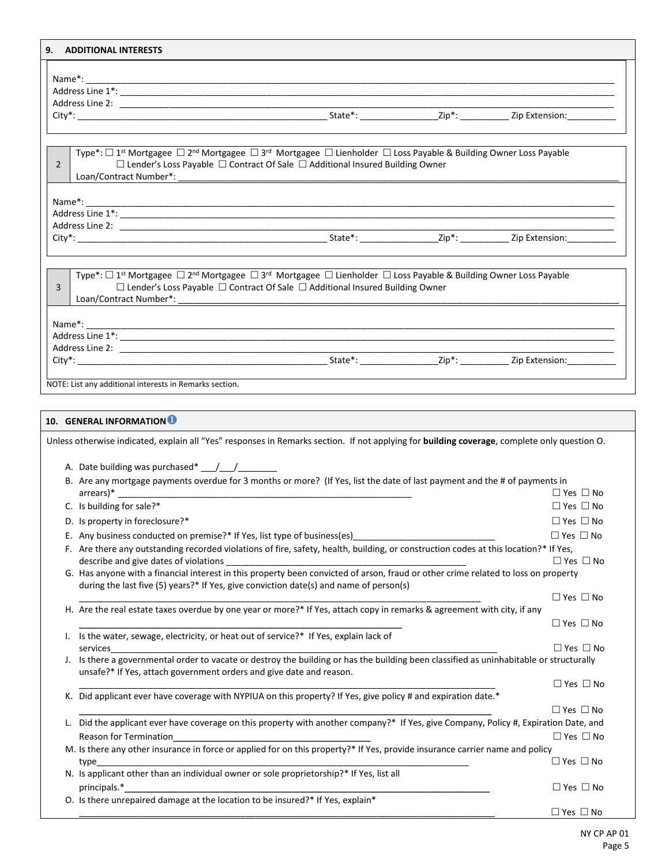| 9.             | <b>ADDITIONAL INTERESTS</b>                                                                                                                                                                                                                                                     |                      |
|----------------|---------------------------------------------------------------------------------------------------------------------------------------------------------------------------------------------------------------------------------------------------------------------------------|----------------------|
|                |                                                                                                                                                                                                                                                                                 |                      |
|                |                                                                                                                                                                                                                                                                                 |                      |
|                |                                                                                                                                                                                                                                                                                 |                      |
|                |                                                                                                                                                                                                                                                                                 |                      |
|                |                                                                                                                                                                                                                                                                                 |                      |
|                |                                                                                                                                                                                                                                                                                 |                      |
| $\overline{2}$ | Type*: □ 1 <sup>st</sup> Mortgagee □ 2 <sup>nd</sup> Mortgagee □ 3 <sup>rd</sup> Mortgagee □ Lienholder □ Loss Payable & Building Owner Loss Payable<br>$\Box$ Lender's Loss Payable $\Box$ Contract Of Sale $\Box$ Additional Insured Building Owner<br>Loan/Contract Number*: |                      |
|                | $Name^*:$                                                                                                                                                                                                                                                                       |                      |
|                |                                                                                                                                                                                                                                                                                 |                      |
|                |                                                                                                                                                                                                                                                                                 |                      |
|                |                                                                                                                                                                                                                                                                                 |                      |
|                |                                                                                                                                                                                                                                                                                 |                      |
| $\overline{3}$ | Type*: □ 1 <sup>st</sup> Mortgagee □ 2 <sup>nd</sup> Mortgagee □ 3 <sup>rd</sup> Mortgagee □ Lienholder □ Loss Payable & Building Owner Loss Payable<br>$\Box$ Lender's Loss Payable $\Box$ Contract Of Sale $\Box$ Additional Insured Building Owner                           |                      |
|                |                                                                                                                                                                                                                                                                                 |                      |
|                |                                                                                                                                                                                                                                                                                 |                      |
|                |                                                                                                                                                                                                                                                                                 |                      |
|                |                                                                                                                                                                                                                                                                                 |                      |
|                | NOTE: List any additional interests in Remarks section.                                                                                                                                                                                                                         |                      |
|                | 10. GENERAL INFORMATION <sup>1</sup><br>Unless otherwise indicated, explain all "Yes" responses in Remarks section. If not applying for building coverage, complete only question O.                                                                                            |                      |
|                | A. Date building was purchased* / /                                                                                                                                                                                                                                             |                      |
|                | B. Are any mortgage payments overdue for 3 months or more? (If Yes, list the date of last payment and the # of payments in                                                                                                                                                      |                      |
|                |                                                                                                                                                                                                                                                                                 | $\Box$ Yes $\Box$ No |
|                | C. Is building for sale?*                                                                                                                                                                                                                                                       | $\Box$ Yes $\Box$ No |
|                | D. Is property in foreclosure?*                                                                                                                                                                                                                                                 | $\Box$ Yes $\Box$ No |
|                |                                                                                                                                                                                                                                                                                 |                      |
|                | E. Any business conducted on premise?* If Yes, list type of business(es)                                                                                                                                                                                                        | $\Box$ Yes $\Box$ No |
|                | F. Are there any outstanding recorded violations of fire, safety, health, building, or construction codes at this location?* If Yes,<br>describe and give dates of violations                                                                                                   |                      |
|                | G. Has anyone with a financial interest in this property been convicted of arson, fraud or other crime related to loss on property<br>during the last five (5) years?* If Yes, give conviction date(s) and name of person(s)                                                    | $\Box$ Yes $\Box$ No |
|                | H. Are the real estate taxes overdue by one year or more?* If Yes, attach copy in remarks & agreement with city, if any                                                                                                                                                         | $\Box$ Yes $\Box$ No |
|                |                                                                                                                                                                                                                                                                                 | $\Box$ Yes $\Box$ No |
| L.             | Is the water, sewage, electricity, or heat out of service?* If Yes, explain lack of                                                                                                                                                                                             |                      |
|                | services                                                                                                                                                                                                                                                                        | $\Box$ Yes $\Box$ No |
| J.             | Is there a governmental order to vacate or destroy the building or has the building been classified as uninhabitable or structurally<br>unsafe?* If Yes, attach government orders and give date and reason.                                                                     |                      |
|                |                                                                                                                                                                                                                                                                                 | $\Box$ Yes $\Box$ No |
|                | K. Did applicant ever have coverage with NYPIUA on this property? If Yes, give policy # and expiration date.*                                                                                                                                                                   | $\Box$ Yes $\Box$ No |
|                | L. Did the applicant ever have coverage on this property with another company?* If Yes, give Company, Policy #, Expiration Date, and                                                                                                                                            |                      |
|                | Reason for Termination                                                                                                                                                                                                                                                          | $\Box$ Yes $\Box$ No |
|                | M. Is there any other insurance in force or applied for on this property?* If Yes, provide insurance carrier name and policy<br>type                                                                                                                                            | $\Box$ Yes $\Box$ No |
|                | N. Is applicant other than an individual owner or sole proprietorship?* If Yes, list all                                                                                                                                                                                        |                      |
|                | principals.*<br>O. Is there unrepaired damage at the location to be insured?* If Yes, explain*                                                                                                                                                                                  | $\Box$ Yes $\Box$ No |
|                |                                                                                                                                                                                                                                                                                 | $\Box$ Yes $\Box$ No |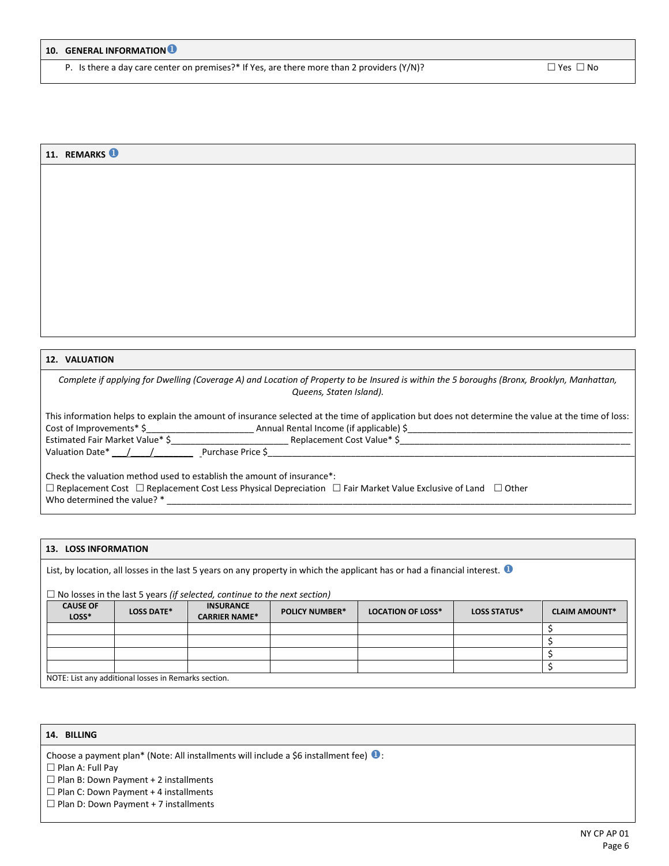Г

P. Is there a day care center on premises?\* If Yes, are there more than 2 providers (Y/N)?  $\square$  Yes  $\square$  No

 $\overline{\phantom{0}}$ 

| 11. REMARKS <sup>1</sup>                                                                                                                                               |
|------------------------------------------------------------------------------------------------------------------------------------------------------------------------|
|                                                                                                                                                                        |
|                                                                                                                                                                        |
|                                                                                                                                                                        |
|                                                                                                                                                                        |
|                                                                                                                                                                        |
|                                                                                                                                                                        |
|                                                                                                                                                                        |
|                                                                                                                                                                        |
|                                                                                                                                                                        |
|                                                                                                                                                                        |
|                                                                                                                                                                        |
|                                                                                                                                                                        |
|                                                                                                                                                                        |
| <b>12. VALUATION</b>                                                                                                                                                   |
| Complete if applying for Dwelling (Coverage A) and Location of Property to be Insured is within the 5 boroughs (Bronx, Brooklyn, Manhattan,<br>Queens, Staten Island). |
|                                                                                                                                                                        |
| This information helps to explain the amount of insurance selected at the time of application but does not determine the value at the time of loss:                    |
|                                                                                                                                                                        |
|                                                                                                                                                                        |
|                                                                                                                                                                        |
| Check the valuation method used to establish the amount of insurance*:                                                                                                 |
| $\Box$ Replacement Cost $\Box$ Replacement Cost Less Physical Depreciation $\Box$ Fair Market Value Exclusive of Land $\Box$ Other<br>Who determined the value? *      |

## **13. LOSS INFORMATION**

List, by location, all losses in the last 5 years on any property in which the applicant has or had a financial interest.  $\bullet$ 

## No losses in the last 5 years *(if selected, continue to the next section)*

| <b>CAUSE OF</b><br>LOSS*                             | <b>LOSS DATE*</b> | <b>INSURANCE</b><br><b>CARRIER NAME*</b> | <b>POLICY NUMBER*</b> | <b>LOCATION OF LOSS*</b> | <b>LOSS STATUS*</b> | <b>CLAIM AMOUNT*</b> |
|------------------------------------------------------|-------------------|------------------------------------------|-----------------------|--------------------------|---------------------|----------------------|
|                                                      |                   |                                          |                       |                          |                     |                      |
|                                                      |                   |                                          |                       |                          |                     |                      |
|                                                      |                   |                                          |                       |                          |                     |                      |
|                                                      |                   |                                          |                       |                          |                     |                      |
| NOTE: List any additional losses in Remarks section. |                   |                                          |                       |                          |                     |                      |

# **14. BILLING**

Choose a payment plan\* (Note: All installments will include a \$6 installment fee)  $\bullet$ :

 $\square$  Plan A: Full Pay

 $\square$  Plan B: Down Payment + 2 installments

 $\square$  Plan C: Down Payment + 4 installments

 $\square$  Plan D: Down Payment + 7 installments